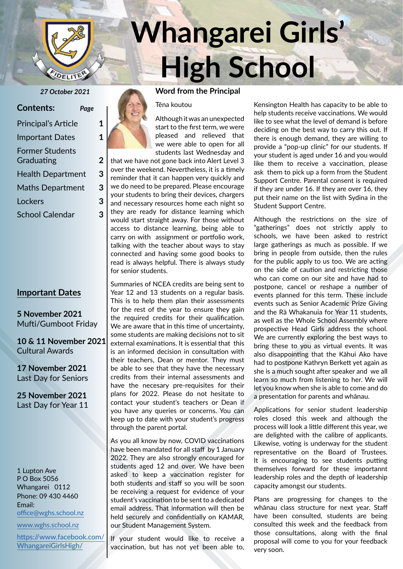

| <b>Contents:</b>                     | Page |
|--------------------------------------|------|
| <b>Principal's Article</b>           | 1    |
| <b>Important Dates</b>               | 1    |
| <b>Former Students</b><br>Graduating | 2    |
| <b>Health Department</b>             | 3    |
| <b>Maths Department</b>              | 3    |
| Lockers                              | 3    |
| <b>School Calendar</b>               | 3    |

# **Important Dates**

**5 November 2021** Mufti/Gumboot Friday

**10 & 11 November 2021** Cultural Awards

**17 November 2021** Last Day for Seniors

**25 November 2021** Last Day for Year 11

1 Lupton Ave P O Box 5056 Whangarei 0112 Phone: 09 430 4460 Email: office@wghs.school.nz

www.wghs.school.nz

https://www.facebook.com/ WhangareiGirlsHigh/

# **Whangarei Girls' High School**

#### *27 October 2021* **Word from the Principal**

Tēna koutou

Although it was an unexpected start to the first term, we were pleased and relieved that we were able to open for all students last Wednesday and

that we have not gone back into Alert Level 3 over the weekend. Nevertheless, it is a timely reminder that it can happen very quickly and we do need to be prepared. Please encourage your students to bring their devices, chargers and necessary resources home each night so they are ready for distance learning which would start straight away. For those without access to distance learning, being able to carry on with assignment or portfolio work, talking with the teacher about ways to stay connected and having some good books to read is always helpful. There is always study for senior students.

Summaries of NCEA credits are being sent to Year 12 and 13 students on a regular basis. This is to help them plan their assessments for the rest of the year to ensure they gain the required credits for their qualification. We are aware that in this time of uncertainty, some students are making decisions not to sit external examinations. It is essential that this is an informed decision in consultation with their teachers, Dean or mentor. They must be able to see that they have the necessary credits from their internal assessments and have the necesary pre-requisites for their plans for 2022. Please do not hesitate to contact your student's teachers or Dean if you have any queries or concerns. You can keep up to date with your student's progress through the parent portal.

As you all know by now, COVID vaccinations have been mandated for all staff by 1 January 2022. They are also strongly encouraged for students aged 12 and over. We have been asked to keep a vaccination register for both students and staff so you will be soon be receiving a request for evidence of your student's vaccination to be sent to a dedicated email address. That information will then be held securely and confidentially on KAMAR, our Student Management System.

If your student would like to receive a vaccination, but has not yet been able to,

Kensington Health has capacity to be able to help students receive vaccinations. We would like to see what the level of demand is before deciding on the best way to carry this out. If there is enough demand, they are willing to provide a "pop-up clinic" for our students. If your student is aged under 16 and you would like them to receive a vaccination, please ask them to pick up a form from the Student Support Centre. Parental consent is required if they are under 16. If they are over 16, they put their name on the list with Sydina in the Student Support Centre.

Although the restrictions on the size of "gatherings" does not strictly apply to schools, we have been asked to restrict large gatherings as much as possible. If we bring in people from outside, then the rules for the public apply to us too. We are acting on the side of caution and restricting those who can come on our site and have had to postpone, cancel or reshape a number of events planned for this term. These include events such as Senior Academic Prize Giving and the Rā Whakanuia for Year 11 students, as well as the Whole School Assembly where prospective Head Girls address the school. We are currently exploring the best ways to bring these to you as virtual events. It was also disappointing that the Kāhui Ako have had to postpone Kathryn Berkett yet again as she is a much sought after speaker and we all learn so much from listening to her. We will let you know when she is able to come and do a presentation for parents and whānau.

Applications for senior student leadership roles closed this week and although the process will look a little different this year, we are delighted with the calibre of applicants. Likewise, voting is underway for the student representative on the Board of Trustees. It is encouraging to see students putting themselves forward for these importannt leadership roles and the depth of leadership capacity amongst our students.

Plans are progressing for changes to the whānau class structure for next year. Staff have been consulted, students are being consulted this week and the feedback from those consultations, along with the final proposal will come to you for your feedback very soon.

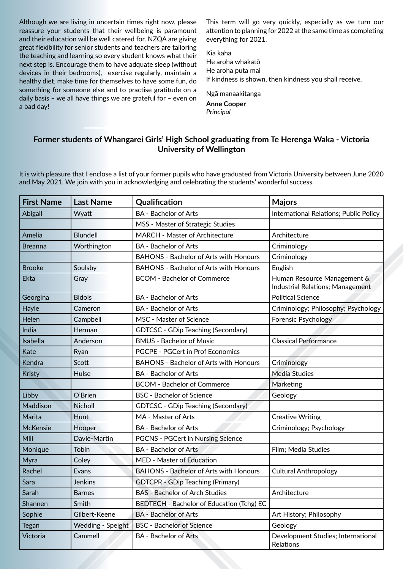Although we are living in uncertain times right now, please reassure your students that their wellbeing is paramount and their education will be well catered for. NZQA are giving great flexibility for senior students and teachers are tailoring the teaching and learning so every student knows what their next step is. Encourage them to have adquate sleep (without devices in their bedrooms), exercise regularly, maintain a healthy diet, make time for themselves to have some fun, do something for someone else and to practise gratitude on a daily basis – we all have things we are grateful for – even on a bad day!

This term will go very quickly, especially as we turn our attention to planning for 2022 at the same time as completing everything for 2021.

Kia kaha He aroha whakatō He aroha puta mai If kindness is shown, then kindness you shall receive.

Ngā manaakitanga

**Anne Cooper** *Principal*

# **Former students of Whangarei Girls' High School graduating from Te Herenga Waka - Victoria University of Wellington**

It is with pleasure that I enclose a list of your former pupils who have graduated from Victoria University between June 2020 and May 2021. We join with you in acknowledging and celebrating the students' wonderful success.

| <b>First Name</b> | <b>Last Name</b>  | Qualification                                 | <b>Majors</b>                                                          |
|-------------------|-------------------|-----------------------------------------------|------------------------------------------------------------------------|
| Abigail           | Wyatt             | <b>BA</b> - Bachelor of Arts                  | International Relations; Public Policy                                 |
|                   |                   | MSS - Master of Strategic Studies             |                                                                        |
| Amelia            | Blundell          | <b>MARCH - Master of Architecture</b>         | Architecture                                                           |
| <b>Breanna</b>    | Worthington       | <b>BA</b> - Bachelor of Arts                  | Criminology                                                            |
|                   |                   | <b>BAHONS - Bachelor of Arts with Honours</b> | Criminology                                                            |
| <b>Brooke</b>     | Soulsby           | <b>BAHONS - Bachelor of Arts with Honours</b> | English                                                                |
| <b>Ekta</b>       | Gray              | <b>BCOM - Bachelor of Commerce</b>            | Human Resource Management &<br><b>Industrial Relations; Management</b> |
| Georgina          | <b>Bidois</b>     | <b>BA</b> - Bachelor of Arts                  | <b>Political Science</b>                                               |
| Hayle             | Cameron           | <b>BA</b> - Bachelor of Arts                  | Criminology; Philosophy; Psychology                                    |
| Helen             | Campbell          | MSC - Master of Science                       | Forensic Psychology                                                    |
| India             | Herman            | <b>GDTCSC - GDip Teaching (Secondary)</b>     |                                                                        |
| Isabella          | Anderson          | <b>BMUS - Bachelor of Music</b>               | <b>Classical Performance</b>                                           |
| Kate              | Ryan              | <b>PGCPE - PGCert in Prof Economics</b>       |                                                                        |
| Kendra            | Scott             | <b>BAHONS - Bachelor of Arts with Honours</b> | Criminology                                                            |
| Kristy            | Hulse             | <b>BA - Bachelor of Arts</b>                  | <b>Media Studies</b>                                                   |
|                   |                   | <b>BCOM - Bachelor of Commerce</b>            | Marketing                                                              |
| Libby             | O'Brien           | <b>BSC</b> - Bachelor of Science              | Geology                                                                |
| Maddison          | Nicholl           | GDTCSC - GDip Teaching (Secondary)            |                                                                        |
| Marita            | Hunt              | MA - Master of Arts                           | <b>Creative Writing</b>                                                |
| McKensie          | Hooper            | <b>BA</b> - Bachelor of Arts                  | Criminology; Psychology                                                |
| Mili              | Davie-Martin      | <b>PGCNS - PGCert in Nursing Science</b>      |                                                                        |
| Monique           | Tobin             | <b>BA</b> - Bachelor of Arts                  | Film; Media Studies                                                    |
| Myra              | Coley             | MED - Master of Education                     |                                                                        |
| Rachel            | Evans             | <b>BAHONS - Bachelor of Arts with Honours</b> | <b>Cultural Anthropology</b>                                           |
| Sara              | Jenkins           | <b>GDTCPR - GDip Teaching (Primary)</b>       |                                                                        |
| Sarah             | <b>Barnes</b>     | <b>BAS - Bachelor of Arch Studies</b>         | Architecture                                                           |
| Shannen           | Smith             | BEDTECH - Bachelor of Education (Tchg) EC     |                                                                        |
| Sophie            | Gilbert-Keene     | <b>BA - Bachelor of Arts</b>                  | Art History; Philosophy                                                |
| <b>Tegan</b>      | Wedding - Speight | <b>BSC</b> - Bachelor of Science              | Geology                                                                |
| Victoria          | Cammell           | <b>BA - Bachelor of Arts</b>                  | Development Studies; International<br>Relations                        |